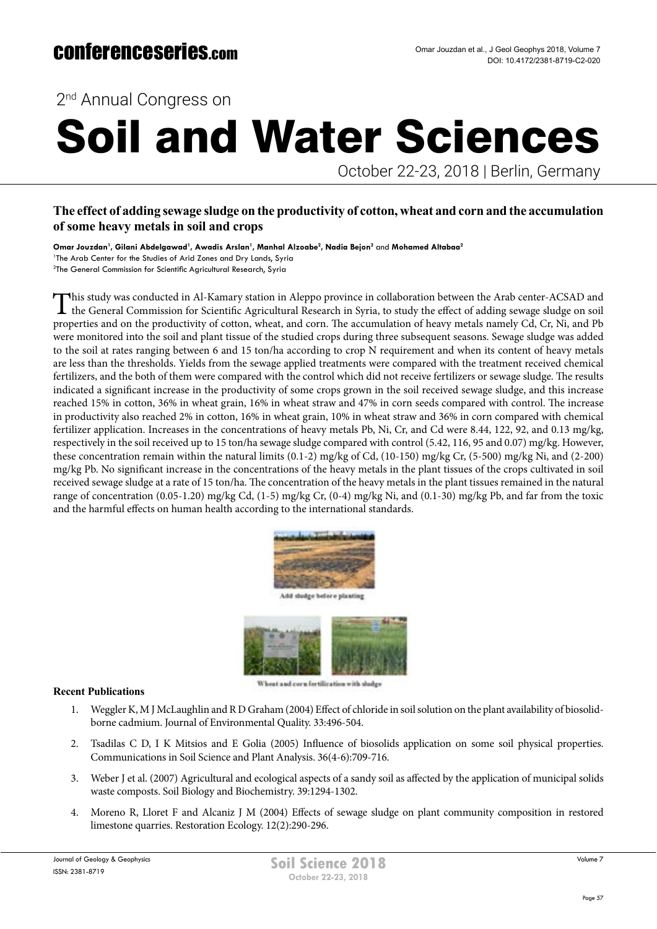2<sup>nd</sup> Annual Congress on

# Soil and Water Sciences

October 22-23, 2018 | Berlin, Germany

## **The effect of adding sewage sludge on the productivity of cotton, wheat and corn and the accumulation of some heavy metals in soil and crops**

**Omar Jouzdan1 , Gilani Abdelgawad<sup>1</sup> , Awadis Arslan<sup>1</sup> , Manhal Alzoabe2 , Nadia Bejon2** and **Mohamed Altabaa2** <sup>1</sup>The Arab Center for the Studies of Arid Zones and Dry Lands, Syria 2 The General Commission for Scientific Agricultural Research, Syria

This study was conducted in Al-Kamary station in Aleppo province in collaboration between the Arab center-ACSAD and the General Commission for Scientific Agricultural Research in Syria, to study the effect of adding sewage sludge on soil properties and on the productivity of cotton, wheat, and corn. The accumulation of heavy metals namely Cd, Cr, Ni, and Pb were monitored into the soil and plant tissue of the studied crops during three subsequent seasons. Sewage sludge was added to the soil at rates ranging between 6 and 15 ton/ha according to crop N requirement and when its content of heavy metals are less than the thresholds. Yields from the sewage applied treatments were compared with the treatment received chemical fertilizers, and the both of them were compared with the control which did not receive fertilizers or sewage sludge. The results indicated a significant increase in the productivity of some crops grown in the soil received sewage sludge, and this increase reached 15% in cotton, 36% in wheat grain, 16% in wheat straw and 47% in corn seeds compared with control. The increase in productivity also reached 2% in cotton, 16% in wheat grain, 10% in wheat straw and 36% in corn compared with chemical fertilizer application. Increases in the concentrations of heavy metals Pb, Ni, Cr, and Cd were 8.44, 122, 92, and 0.13 mg/kg, respectively in the soil received up to 15 ton/ha sewage sludge compared with control (5.42, 116, 95 and 0.07) mg/kg. However, these concentration remain within the natural limits (0.1-2) mg/kg of Cd, (10-150) mg/kg Cr, (5-500) mg/kg Ni, and (2-200) mg/kg Pb. No significant increase in the concentrations of the heavy metals in the plant tissues of the crops cultivated in soil received sewage sludge at a rate of 15 ton/ha. The concentration of the heavy metals in the plant tissues remained in the natural range of concentration (0.05-1.20) mg/kg Cd, (1-5) mg/kg Cr, (0-4) mg/kg Ni, and (0.1-30) mg/kg Pb, and far from the toxic and the harmful effects on human health according to the international standards.



Add sludge before planting



### **Recent Publications**

- 1. Weggler K, M J McLaughlin and R D Graham (2004) Effect of chloride in soil solution on the plant availability of biosolidborne cadmium. Journal of Environmental Quality. 33:496-504.
- 2. Tsadilas C D, I K Mitsios and E Golia (2005) Influence of biosolids application on some soil physical properties. Communications in Soil Science and Plant Analysis. 36(4-6):709-716.
- 3. Weber J et al. (2007) Agricultural and ecological aspects of a sandy soil as affected by the application of municipal solids waste composts. Soil Biology and Biochemistry. 39:1294-1302.
- 4. Moreno R, Lloret F and Alcaniz J M (2004) Effects of sewage sludge on plant community composition in restored limestone quarries. Restoration Ecology. 12(2):290-296.